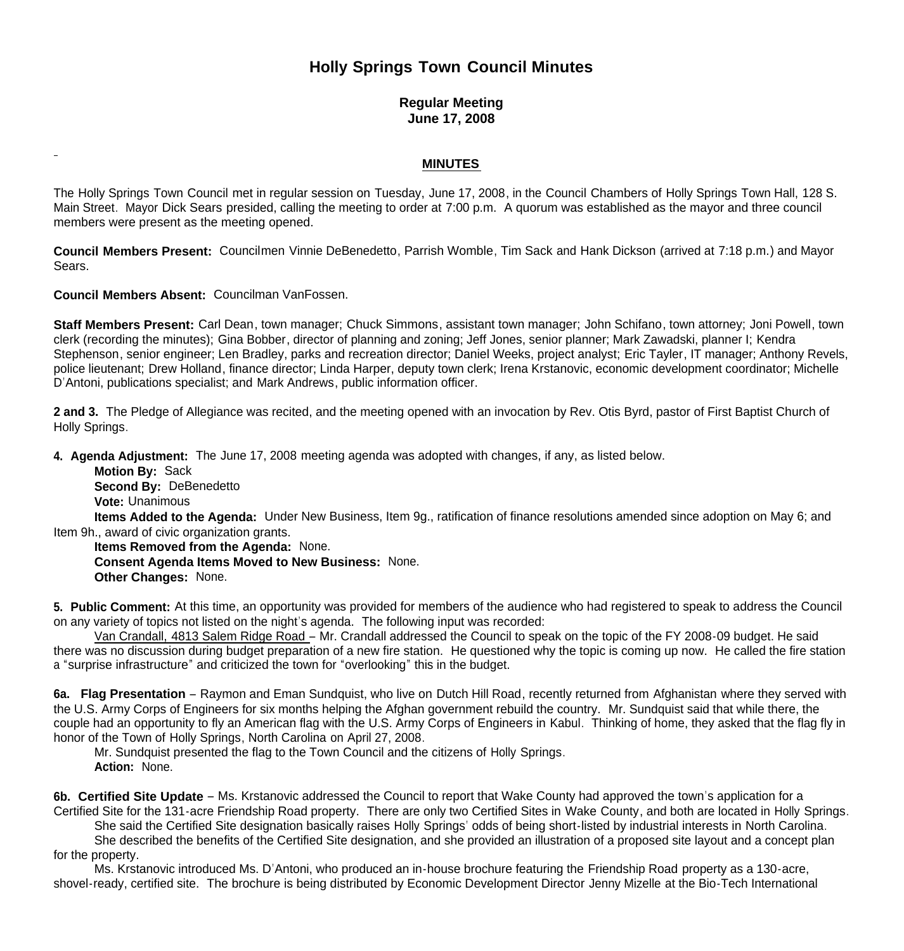# **Holly Springs Town Council Minutes**

**Regular Meeting June 17, 2008**

### **MINUTES**

The Holly Springs Town Council met in regular session on Tuesday, June 17, 2008, in the Council Chambers of Holly Springs Town Hall, 128 S. Main Street. Mayor Dick Sears presided, calling the meeting to order at 7:00 p.m. A quorum was established as the mayor and three council members were present as the meeting opened.

**Council Members Present:** Councilmen Vinnie DeBenedetto, Parrish Womble, Tim Sack and Hank Dickson (arrived at 7:18 p.m.) and Mayor Sears.

**Council Members Absent:** Councilman VanFossen.

**Staff Members Present:** Carl Dean, town manager; Chuck Simmons, assistant town manager; John Schifano, town attorney; Joni Powell, town clerk (recording the minutes); Gina Bobber, director of planning and zoning; Jeff Jones, senior planner; Mark Zawadski, planner I; Kendra Stephenson, senior engineer; Len Bradley, parks and recreation director; Daniel Weeks, project analyst; Eric Tayler, IT manager; Anthony Revels, police lieutenant; Drew Holland, finance director; Linda Harper, deputy town clerk; Irena Krstanovic, economic development coordinator; Michelle D'Antoni, publications specialist; and Mark Andrews, public information officer.

**2 and 3.** The Pledge of Allegiance was recited, and the meeting opened with an invocation by Rev. Otis Byrd, pastor of First Baptist Church of Holly Springs.

**4. Agenda Adjustment:** The June 17, 2008 meeting agenda was adopted with changes, if any, as listed below.

 **Motion By:** Sack **Second By:** DeBenedetto

**Vote:** Unanimous

 **Items Added to the Agenda:** Under New Business, Item 9g., ratification of finance resolutions amended since adoption on May 6; and Item 9h., award of civic organization grants.

 **Items Removed from the Agenda:** None. **Consent Agenda Items Moved to New Business:** None. **Other Changes:** None.

**5. Public Comment:** At this time, an opportunity was provided for members of the audience who had registered to speak to address the Council on any variety of topics not listed on the night's agenda. The following input was recorded:

 Van Crandall, 4813 Salem Ridge Road – Mr. Crandall addressed the Council to speak on the topic of the FY 2008-09 budget. He said there was no discussion during budget preparation of a new fire station. He questioned why the topic is coming up now. He called the fire station a "surprise infrastructure" and criticized the town for "overlooking" this in the budget.

**6a. Flag Presentation** – Raymon and Eman Sundquist, who live on Dutch Hill Road, recently returned from Afghanistan where they served with the U.S. Army Corps of Engineers for six months helping the Afghan government rebuild the country. Mr. Sundquist said that while there, the couple had an opportunity to fly an American flag with the U.S. Army Corps of Engineers in Kabul. Thinking of home, they asked that the flag fly in honor of the Town of Holly Springs, North Carolina on April 27, 2008.

 Mr. Sundquist presented the flag to the Town Council and the citizens of Holly Springs. **Action:** None.

**6b. Certified Site Update** – Ms. Krstanovic addressed the Council to report that Wake County had approved the town's application for a Certified Site for the 131-acre Friendship Road property. There are only two Certified Sites in Wake County, and both are located in Holly Springs. She said the Certified Site designation basically raises Holly Springs' odds of being short-listed by industrial interests in North Carolina.

She described the benefits of the Certified Site designation, and she provided an illustration of a proposed site layout and a concept plan for the property.

 Ms. Krstanovic introduced Ms. D'Antoni, who produced an in-house brochure featuring the Friendship Road property as a 130-acre, shovel-ready, certified site. The brochure is being distributed by Economic Development Director Jenny Mizelle at the Bio-Tech International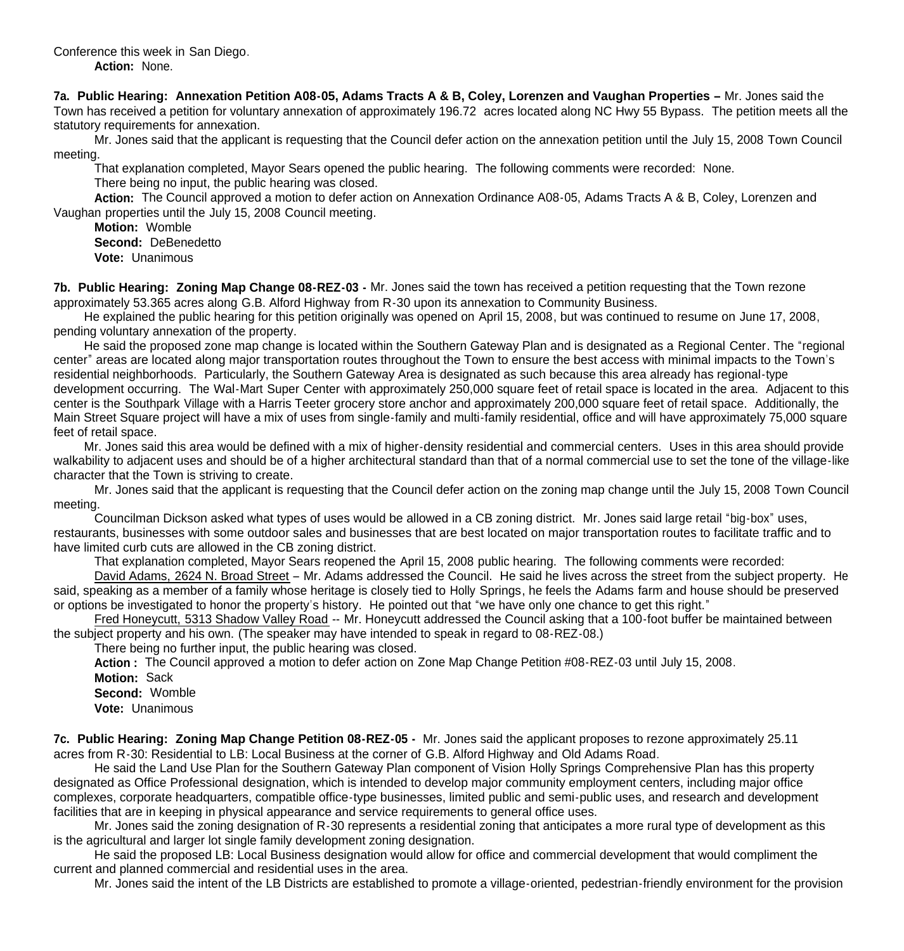Conference this week in San Diego. **Action:** None.

**7a. Public Hearing: Annexation Petition A08-05, Adams Tracts A & B, Coley, Lorenzen and Vaughan Properties –** Mr. Jones said the Town has received a petition for voluntary annexation of approximately 196.72 acres located along NC Hwy 55 Bypass. The petition meets all the statutory requirements for annexation.

 Mr. Jones said that the applicant is requesting that the Council defer action on the annexation petition until the July 15, 2008 Town Council meeting.

That explanation completed, Mayor Sears opened the public hearing. The following comments were recorded: None.

There being no input, the public hearing was closed.

**Action:** The Council approved a motion to defer action on Annexation Ordinance A08-05, Adams Tracts A & B, Coley, Lorenzen and Vaughan properties until the July 15, 2008 Council meeting.

**Motion:** Womble

**Second:** DeBenedetto

**Vote:** Unanimous

**7b. Public Hearing: Zoning Map Change 08-REZ-03 -** Mr. Jones said the town has received a petition requesting that the Town rezone approximately 53.365 acres along G.B. Alford Highway from R-30 upon its annexation to Community Business.

 He explained the public hearing for this petition originally was opened on April 15, 2008, but was continued to resume on June 17, 2008, pending voluntary annexation of the property.

 He said the proposed zone map change is located within the Southern Gateway Plan and is designated as a Regional Center. The "regional center" areas are located along major transportation routes throughout the Town to ensure the best access with minimal impacts to the Town's residential neighborhoods. Particularly, the Southern Gateway Area is designated as such because this area already has regional-type development occurring. The Wal-Mart Super Center with approximately 250,000 square feet of retail space is located in the area. Adjacent to this center is the Southpark Village with a Harris Teeter grocery store anchor and approximately 200,000 square feet of retail space. Additionally, the Main Street Square project will have a mix of uses from single-family and multi-family residential, office and will have approximately 75,000 square feet of retail space.

 Mr. Jones said this area would be defined with a mix of higher-density residential and commercial centers. Uses in this area should provide walkability to adjacent uses and should be of a higher architectural standard than that of a normal commercial use to set the tone of the village-like character that the Town is striving to create.

Mr. Jones said that the applicant is requesting that the Council defer action on the zoning map change until the July 15, 2008 Town Council meeting.

Councilman Dickson asked what types of uses would be allowed in a CB zoning district. Mr. Jones said large retail "big-box" uses, restaurants, businesses with some outdoor sales and businesses that are best located on major transportation routes to facilitate traffic and to have limited curb cuts are allowed in the CB zoning district.

That explanation completed, Mayor Sears reopened the April 15, 2008 public hearing. The following comments were recorded:

David Adams, 2624 N. Broad Street – Mr. Adams addressed the Council. He said he lives across the street from the subject property. He said, speaking as a member of a family whose heritage is closely tied to Holly Springs, he feels the Adams farm and house should be preserved or options be investigated to honor the property's history. He pointed out that "we have only one chance to get this right."

Fred Honeycutt, 5313 Shadow Valley Road -- Mr. Honeycutt addressed the Council asking that a 100-foot buffer be maintained between the subject property and his own. (The speaker may have intended to speak in regard to 08-REZ-08.)

There being no further input, the public hearing was closed.

**Action :** The Council approved a motion to defer action on Zone Map Change Petition #08-REZ-03 until July 15, 2008.

**Motion:** Sack

**Second:** Womble

**Vote:** Unanimous

**7c. Public Hearing: Zoning Map Change Petition 08-REZ-05 -** Mr. Jones said the applicant proposes to rezone approximately 25.11 acres from R-30: Residential to LB: Local Business at the corner of G.B. Alford Highway and Old Adams Road.

 He said the Land Use Plan for the Southern Gateway Plan component of Vision Holly Springs Comprehensive Plan has this property designated as Office Professional designation, which is intended to develop major community employment centers, including major office complexes, corporate headquarters, compatible office-type businesses, limited public and semi-public uses, and research and development facilities that are in keeping in physical appearance and service requirements to general office uses.

 Mr. Jones said the zoning designation of R-30 represents a residential zoning that anticipates a more rural type of development as this is the agricultural and larger lot single family development zoning designation.

 He said the proposed LB: Local Business designation would allow for office and commercial development that would compliment the current and planned commercial and residential uses in the area.

Mr. Jones said the intent of the LB Districts are established to promote a village-oriented, pedestrian-friendly environment for the provision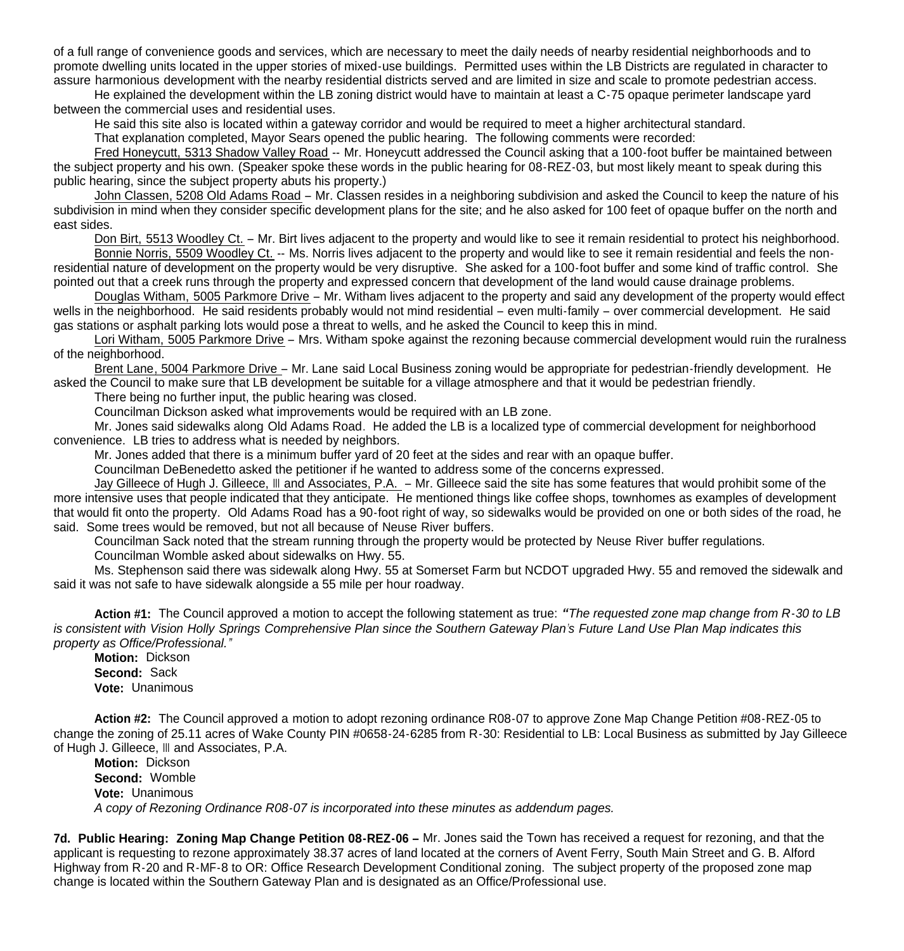of a full range of convenience goods and services, which are necessary to meet the daily needs of nearby residential neighborhoods and to promote dwelling units located in the upper stories of mixed-use buildings. Permitted uses within the LB Districts are regulated in character to assure harmonious development with the nearby residential districts served and are limited in size and scale to promote pedestrian access.

 He explained the development within the LB zoning district would have to maintain at least a C-75 opaque perimeter landscape yard between the commercial uses and residential uses.

He said this site also is located within a gateway corridor and would be required to meet a higher architectural standard.

That explanation completed, Mayor Sears opened the public hearing. The following comments were recorded:

Fred Honeycutt, 5313 Shadow Valley Road -- Mr. Honeycutt addressed the Council asking that a 100-foot buffer be maintained between the subject property and his own. (Speaker spoke these words in the public hearing for 08-REZ-03, but most likely meant to speak during this public hearing, since the subject property abuts his property.)

John Classen, 5208 Old Adams Road – Mr. Classen resides in a neighboring subdivision and asked the Council to keep the nature of his subdivision in mind when they consider specific development plans for the site; and he also asked for 100 feet of opaque buffer on the north and east sides.

Don Birt, 5513 Woodley Ct. – Mr. Birt lives adjacent to the property and would like to see it remain residential to protect his neighborhood.

Bonnie Norris, 5509 Woodley Ct. -- Ms. Norris lives adjacent to the property and would like to see it remain residential and feels the nonresidential nature of development on the property would be very disruptive. She asked for a 100-foot buffer and some kind of traffic control. She pointed out that a creek runs through the property and expressed concern that development of the land would cause drainage problems.

Douglas Witham, 5005 Parkmore Drive – Mr. Witham lives adjacent to the property and said any development of the property would effect wells in the neighborhood. He said residents probably would not mind residential – even multi-family – over commercial development. He said gas stations or asphalt parking lots would pose a threat to wells, and he asked the Council to keep this in mind.

Lori Witham, 5005 Parkmore Drive – Mrs. Witham spoke against the rezoning because commercial development would ruin the ruralness of the neighborhood.

Brent Lane, 5004 Parkmore Drive – Mr. Lane said Local Business zoning would be appropriate for pedestrian-friendly development. He asked the Council to make sure that LB development be suitable for a village atmosphere and that it would be pedestrian friendly.

There being no further input, the public hearing was closed.

Councilman Dickson asked what improvements would be required with an LB zone.

Mr. Jones said sidewalks along Old Adams Road. He added the LB is a localized type of commercial development for neighborhood convenience. LB tries to address what is needed by neighbors.

Mr. Jones added that there is a minimum buffer yard of 20 feet at the sides and rear with an opaque buffer.

Councilman DeBenedetto asked the petitioner if he wanted to address some of the concerns expressed.

Jay Gilleece of Hugh J. Gilleece, III and Associates, P.A. - Mr. Gilleece said the site has some features that would prohibit some of the more intensive uses that people indicated that they anticipate. He mentioned things like coffee shops, townhomes as examples of development that would fit onto the property. Old Adams Road has a 90-foot right of way, so sidewalks would be provided on one or both sides of the road, he said. Some trees would be removed, but not all because of Neuse River buffers.

Councilman Sack noted that the stream running through the property would be protected by Neuse River buffer regulations.

Councilman Womble asked about sidewalks on Hwy. 55.

Ms. Stephenson said there was sidewalk along Hwy. 55 at Somerset Farm but NCDOT upgraded Hwy. 55 and removed the sidewalk and said it was not safe to have sidewalk alongside a 55 mile per hour roadway.

**Action #1:** The Council approved a motion to accept the following statement as true: *"The requested zone map change from R-30 to LB is consistent with Vision Holly Springs Comprehensive Plan since the Southern Gateway Plan's Future Land Use Plan Map indicates this property as Office/Professional."*

**Motion:** Dickson **Second:** Sack **Vote:** Unanimous

**Action #2:** The Council approved a motion to adopt rezoning ordinance R08-07 to approve Zone Map Change Petition #08-REZ-05 to change the zoning of 25.11 acres of Wake County PIN #0658-24-6285 from R-30: Residential to LB: Local Business as submitted by Jay Gilleece of Hugh J. Gilleece, III and Associates, P.A.

**Motion:** Dickson **Second:** Womble **Vote:** Unanimous *A copy of Rezoning Ordinance R08-07 is incorporated into these minutes as addendum pages.*

**7d. Public Hearing: Zoning Map Change Petition 08-REZ-06 –** Mr. Jones said the Town has received a request for rezoning, and that the applicant is requesting to rezone approximately 38.37 acres of land located at the corners of Avent Ferry, South Main Street and G. B. Alford Highway from R-20 and R-MF-8 to OR: Office Research Development Conditional zoning. The subject property of the proposed zone map change is located within the Southern Gateway Plan and is designated as an Office/Professional use.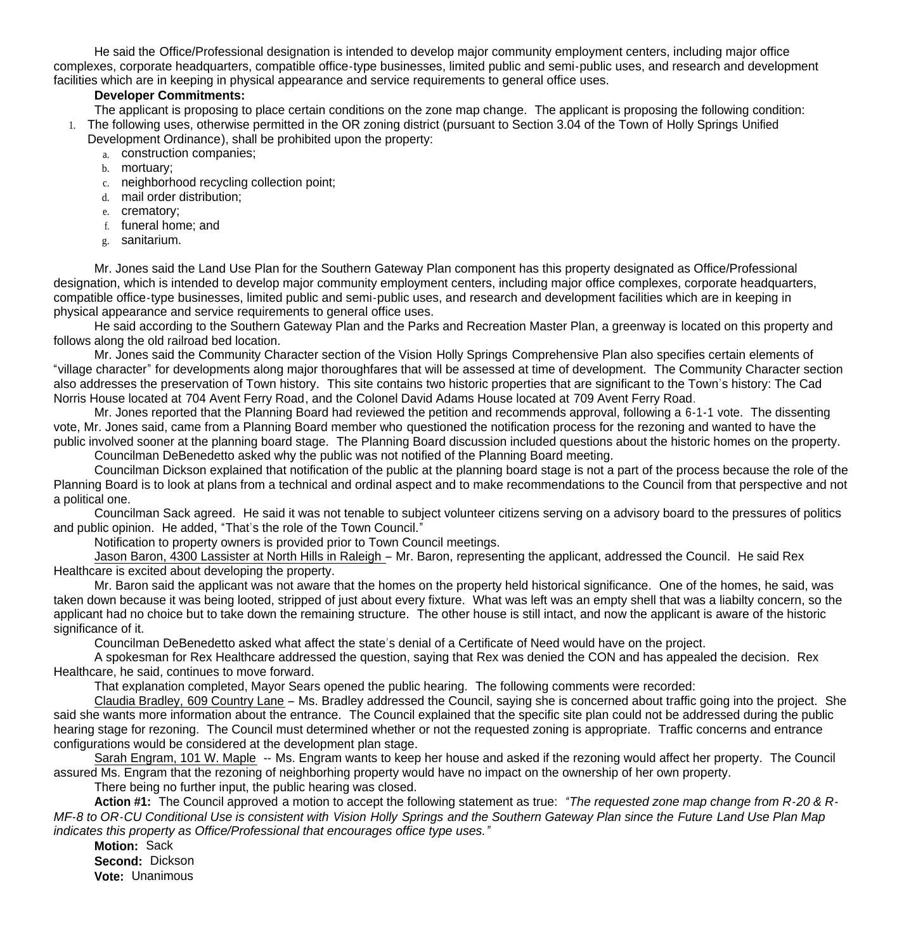He said the Office/Professional designation is intended to develop major community employment centers, including major office complexes, corporate headquarters, compatible office-type businesses, limited public and semi-public uses, and research and development facilities which are in keeping in physical appearance and service requirements to general office uses.

## **Developer Commitments:**

 The applicant is proposing to place certain conditions on the zone map change. The applicant is proposing the following condition: 1. The following uses, otherwise permitted in the OR zoning district (pursuant to Section 3.04 of the Town of Holly Springs Unified

Development Ordinance), shall be prohibited upon the property:

- a. construction companies;
- b. mortuary;
- c. neighborhood recycling collection point;
- d. mail order distribution;
- e. crematory;
- f. funeral home; and
- g. sanitarium.

 Mr. Jones said the Land Use Plan for the Southern Gateway Plan component has this property designated as Office/Professional designation, which is intended to develop major community employment centers, including major office complexes, corporate headquarters, compatible office-type businesses, limited public and semi-public uses, and research and development facilities which are in keeping in physical appearance and service requirements to general office uses.

 He said according to the Southern Gateway Plan and the Parks and Recreation Master Plan, a greenway is located on this property and follows along the old railroad bed location.

 Mr. Jones said the Community Character section of the Vision Holly Springs Comprehensive Plan also specifies certain elements of "village character" for developments along major thoroughfares that will be assessed at time of development. The Community Character section also addresses the preservation of Town history. This site contains two historic properties that are significant to the Town's history: The Cad Norris House located at 704 Avent Ferry Road, and the Colonel David Adams House located at 709 Avent Ferry Road.

 Mr. Jones reported that the Planning Board had reviewed the petition and recommends approval, following a 6-1-1 vote. The dissenting vote, Mr. Jones said, came from a Planning Board member who questioned the notification process for the rezoning and wanted to have the public involved sooner at the planning board stage. The Planning Board discussion included questions about the historic homes on the property.

Councilman DeBenedetto asked why the public was not notified of the Planning Board meeting.

 Councilman Dickson explained that notification of the public at the planning board stage is not a part of the process because the role of the Planning Board is to look at plans from a technical and ordinal aspect and to make recommendations to the Council from that perspective and not a political one.

 Councilman Sack agreed. He said it was not tenable to subject volunteer citizens serving on a advisory board to the pressures of politics and public opinion. He added. "That's the role of the Town Council."

Notification to property owners is provided prior to Town Council meetings.

Jason Baron, 4300 Lassister at North Hills in Raleigh – Mr. Baron, representing the applicant, addressed the Council. He said Rex Healthcare is excited about developing the property.

Mr. Baron said the applicant was not aware that the homes on the property held historical significance. One of the homes, he said, was taken down because it was being looted, stripped of just about every fixture. What was left was an empty shell that was a liabilty concern, so the applicant had no choice but to take down the remaining structure. The other house is still intact, and now the applicant is aware of the historic significance of it.

Councilman DeBenedetto asked what affect the state's denial of a Certificate of Need would have on the project.

A spokesman for Rex Healthcare addressed the question, saying that Rex was denied the CON and has appealed the decision. Rex Healthcare, he said, continues to move forward.

That explanation completed, Mayor Sears opened the public hearing. The following comments were recorded:

Claudia Bradley, 609 Country Lane – Ms. Bradley addressed the Council, saying she is concerned about traffic going into the project. She said she wants more information about the entrance. The Council explained that the specific site plan could not be addressed during the public hearing stage for rezoning. The Council must determined whether or not the requested zoning is appropriate. Traffic concerns and entrance configurations would be considered at the development plan stage.

Sarah Engram, 101 W. Maple -- Ms. Engram wants to keep her house and asked if the rezoning would affect her property. The Council assured Ms. Engram that the rezoning of neighborhing property would have no impact on the ownership of her own property.

There being no further input, the public hearing was closed.

**Action #1:** The Council approved a motion to accept the following statement as true: *"The requested zone map change from R-20 & R-MF-8 to OR-CU Conditional Use is consistent with Vision Holly Springs and the Southern Gateway Plan since the Future Land Use Plan Map indicates this property as Office/Professional that encourages office type uses."*

**Motion:** Sack **Second:** Dickson **Vote:** Unanimous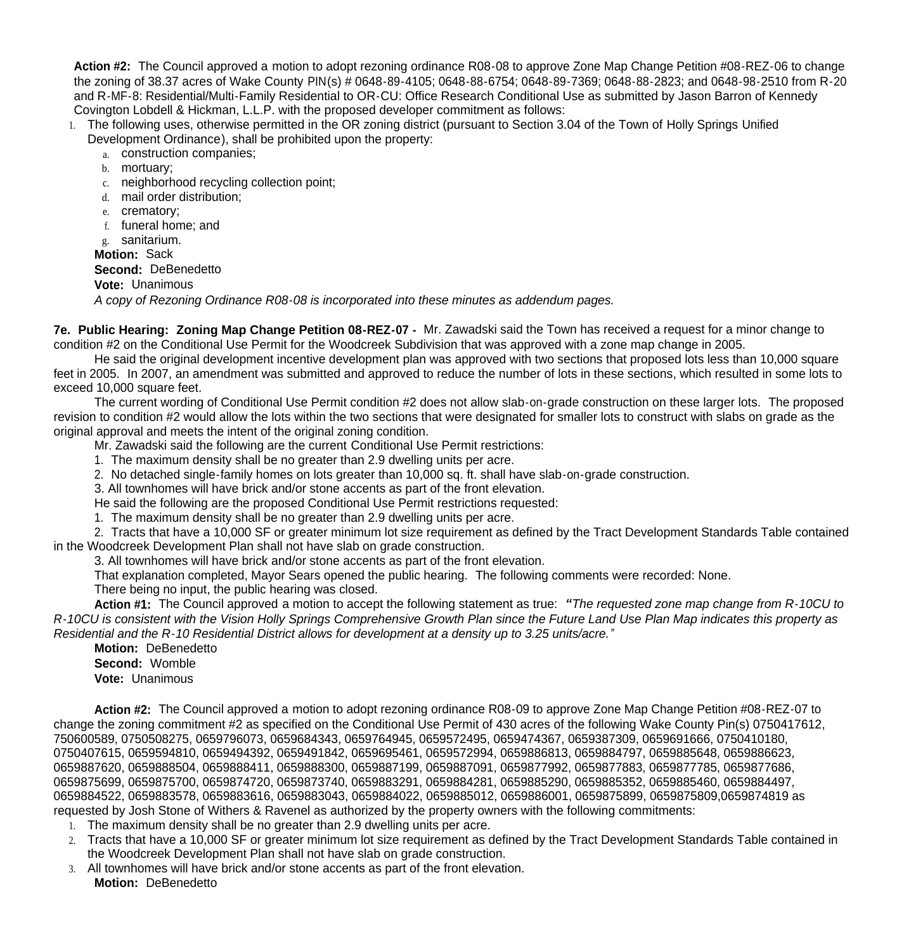**Action #2:** The Council approved a motion to adopt rezoning ordinance R08-08 to approve Zone Map Change Petition #08-REZ-06 to change the zoning of 38.37 acres of Wake County PIN(s) # 0648-89-4105; 0648-88-6754; 0648-89-7369; 0648-88-2823; and 0648-98-2510 from R-20 and R-MF-8: Residential/Multi-Family Residential to OR-CU: Office Research Conditional Use as submitted by Jason Barron of Kennedy Covington Lobdell & Hickman, L.L.P. with the proposed developer commitment as follows:

1. The following uses, otherwise permitted in the OR zoning district (pursuant to Section 3.04 of the Town of Holly Springs Unified Development Ordinance), shall be prohibited upon the property:

- a. construction companies;
- b. mortuary;
- c. neighborhood recycling collection point;
- d. mail order distribution;
- e. crematory;
- f. funeral home; and
- g. sanitarium.

**Motion:** Sack

**Second:** DeBenedetto

**Vote:** Unanimous

*A copy of Rezoning Ordinance R08-08 is incorporated into these minutes as addendum pages.*

**7e. Public Hearing: Zoning Map Change Petition 08-REZ-07 -** Mr. Zawadski said the Town has received a request for a minor change to condition #2 on the Conditional Use Permit for the Woodcreek Subdivision that was approved with a zone map change in 2005.

 He said the original development incentive development plan was approved with two sections that proposed lots less than 10,000 square feet in 2005. In 2007, an amendment was submitted and approved to reduce the number of lots in these sections, which resulted in some lots to exceed 10,000 square feet.

 The current wording of Conditional Use Permit condition #2 does not allow slab-on-grade construction on these larger lots. The proposed revision to condition #2 would allow the lots within the two sections that were designated for smaller lots to construct with slabs on grade as the original approval and meets the intent of the original zoning condition.

Mr. Zawadski said the following are the current Conditional Use Permit restrictions:

- 1. The maximum density shall be no greater than 2.9 dwelling units per acre.
- 2. No detached single-family homes on lots greater than 10,000 sq. ft. shall have slab-on-grade construction.

3. All townhomes will have brick and/or stone accents as part of the front elevation.

He said the following are the proposed Conditional Use Permit restrictions requested:

1. The maximum density shall be no greater than 2.9 dwelling units per acre.

2. Tracts that have a 10,000 SF or greater minimum lot size requirement as defined by the Tract Development Standards Table contained in the Woodcreek Development Plan shall not have slab on grade construction.

3. All townhomes will have brick and/or stone accents as part of the front elevation.

That explanation completed, Mayor Sears opened the public hearing. The following comments were recorded: None.

There being no input, the public hearing was closed.

**Action #1:** The Council approved a motion to accept the following statement as true: *"The requested zone map change from R-10CU to R-10CU is consistent with the Vision Holly Springs Comprehensive Growth Plan since the Future Land Use Plan Map indicates this property as Residential and the R-10 Residential District allows for development at a density up to 3.25 units/acre."*

**Motion:** DeBenedetto

**Second:** Womble

**Vote:** Unanimous

**Action #2:** The Council approved a motion to adopt rezoning ordinance R08-09 to approve Zone Map Change Petition #08-REZ-07 to change the zoning commitment #2 as specified on the Conditional Use Permit of 430 acres of the following Wake County Pin(s) 0750417612, 750600589, 0750508275, 0659796073, 0659684343, 0659764945, 0659572495, 0659474367, 0659387309, 0659691666, 0750410180, 0750407615, 0659594810, 0659494392, 0659491842, 0659695461, 0659572994, 0659886813, 0659884797, 0659885648, 0659886623, 0659887620, 0659888504, 0659888411, 0659888300, 0659887199, 0659887091, 0659877992, 0659877883, 0659877785, 0659877686, 0659875699, 0659875700, 0659874720, 0659873740, 0659883291, 0659884281, 0659885290, 0659885352, 0659885460, 0659884497, 0659884522, 0659883578, 0659883616, 0659883043, 0659884022, 0659885012, 0659886001, 0659875899, 0659875809,0659874819 as requested by Josh Stone of Withers & Ravenel as authorized by the property owners with the following commitments:

- 1. The maximum density shall be no greater than 2.9 dwelling units per acre.
- 2. Tracts that have a 10,000 SF or greater minimum lot size requirement as defined by the Tract Development Standards Table contained in the Woodcreek Development Plan shall not have slab on grade construction.
- 3. All townhomes will have brick and/or stone accents as part of the front elevation. **Motion:** DeBenedetto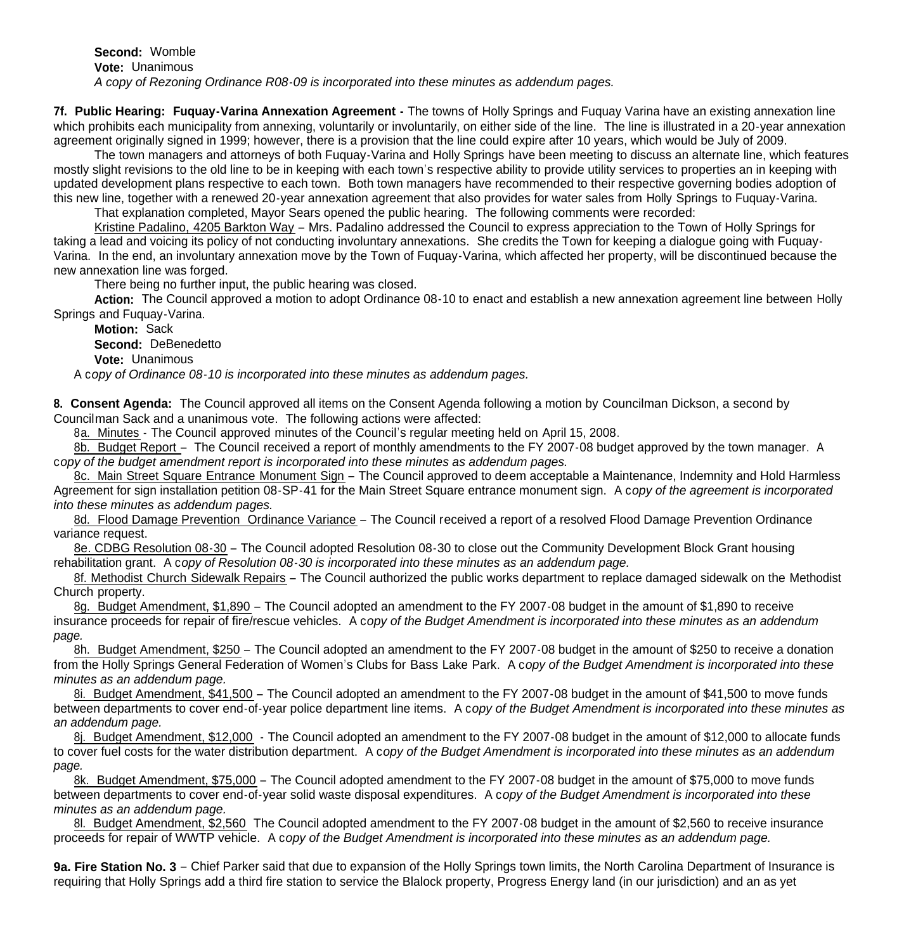**Second:** Womble **Vote:** Unanimous *A copy of Rezoning Ordinance R08-09 is incorporated into these minutes as addendum pages.*

**7f. Public Hearing: Fuquay-Varina Annexation Agreement -** The towns of Holly Springs and Fuquay Varina have an existing annexation line which prohibits each municipality from annexing, voluntarily or involuntarily, on either side of the line. The line is illustrated in a 20-year annexation agreement originally signed in 1999; however, there is a provision that the line could expire after 10 years, which would be July of 2009.

 The town managers and attorneys of both Fuquay-Varina and Holly Springs have been meeting to discuss an alternate line, which features mostly slight revisions to the old line to be in keeping with each town's respective ability to provide utility services to properties an in keeping with updated development plans respective to each town. Both town managers have recommended to their respective governing bodies adoption of this new line, together with a renewed 20-year annexation agreement that also provides for water sales from Holly Springs to Fuquay-Varina.

That explanation completed, Mayor Sears opened the public hearing. The following comments were recorded:

Kristine Padalino, 4205 Barkton Way – Mrs. Padalino addressed the Council to express appreciation to the Town of Holly Springs for taking a lead and voicing its policy of not conducting involuntary annexations. She credits the Town for keeping a dialogue going with Fuquay-Varina. In the end, an involuntary annexation move by the Town of Fuquay-Varina, which affected her property, will be discontinued because the new annexation line was forged.

There being no further input, the public hearing was closed.

**Action:** The Council approved a motion to adopt Ordinance 08-10 to enact and establish a new annexation agreement line between Holly Springs and Fuquay-Varina.

**Motion:** Sack **Second:** DeBenedetto

**Vote:** Unanimous

A c*opy of Ordinance 08-10 is incorporated into these minutes as addendum pages.*

**8. Consent Agenda:** The Council approved all items on the Consent Agenda following a motion by Councilman Dickson, a second by Councilman Sack and a unanimous vote. The following actions were affected:

8a. Minutes - The Council approved minutes of the Council's regular meeting held on April 15, 2008.

8b. Budget Report – The Council received a report of monthly amendments to the FY 2007-08 budget approved by the town manager. A c*opy of the budget amendment report is incorporated into these minutes as addendum pages.*

 8c. Main Street Square Entrance Monument Sign – The Council approved to deem acceptable a Maintenance, Indemnity and Hold Harmless Agreement for sign installation petition 08-SP-41 for the Main Street Square entrance monument sign. A c*opy of the agreement is incorporated into these minutes as addendum pages.*

 8d. Flood Damage Prevention Ordinance Variance – The Council received a report of a resolved Flood Damage Prevention Ordinance variance request.

 8e. CDBG Resolution 08-30 – The Council adopted Resolution 08-30 to close out the Community Development Block Grant housing rehabilitation grant.A c*opy of Resolution 08-30 is incorporated into these minutes as an addendum page.*

 8f. Methodist Church Sidewalk Repairs – The Council authorized the public works department to replace damaged sidewalk on the Methodist Church property.

 8g. Budget Amendment, \$1,890 – The Council adopted an amendment to the FY 2007-08 budget in the amount of \$1,890 to receive insurance proceeds for repair of fire/rescue vehicles. A c*opy of the Budget Amendment is incorporated into these minutes as an addendum page.*

8h. Budget Amendment, \$250 – The Council adopted an amendment to the FY 2007-08 budget in the amount of \$250 to receive a donation from the Holly Springs General Federation of Women's Clubs for Bass Lake Park. A c*opy of the Budget Amendment is incorporated into these minutes as an addendum page.*

 8i. Budget Amendment, \$41,500 – The Council adopted an amendment to the FY 2007-08 budget in the amount of \$41,500 to move funds between departments to cover end-of-year police department line items. A c*opy of the Budget Amendment is incorporated into these minutes as an addendum page.*

 8j. Budget Amendment, \$12,000 - The Council adopted an amendment to the FY 2007-08 budget in the amount of \$12,000 to allocate funds to cover fuel costs for the water distribution department. A c*opy of the Budget Amendment is incorporated into these minutes as an addendum page.* 

8k. Budget Amendment, \$75,000 – The Council adopted amendment to the FY 2007-08 budget in the amount of \$75,000 to move funds between departments to cover end-of-year solid waste disposal expenditures. A c*opy of the Budget Amendment is incorporated into these minutes as an addendum page.*

 8l. Budget Amendment, \$2,560 The Council adopted amendment to the FY 2007-08 budget in the amount of \$2,560 to receive insurance proceeds for repair of WWTP vehicle. A c*opy of the Budget Amendment is incorporated into these minutes as an addendum page.*

**9a. Fire Station No. 3** – Chief Parker said that due to expansion of the Holly Springs town limits, the North Carolina Department of Insurance is requiring that Holly Springs add a third fire station to service the Blalock property, Progress Energy land (in our jurisdiction) and an as yet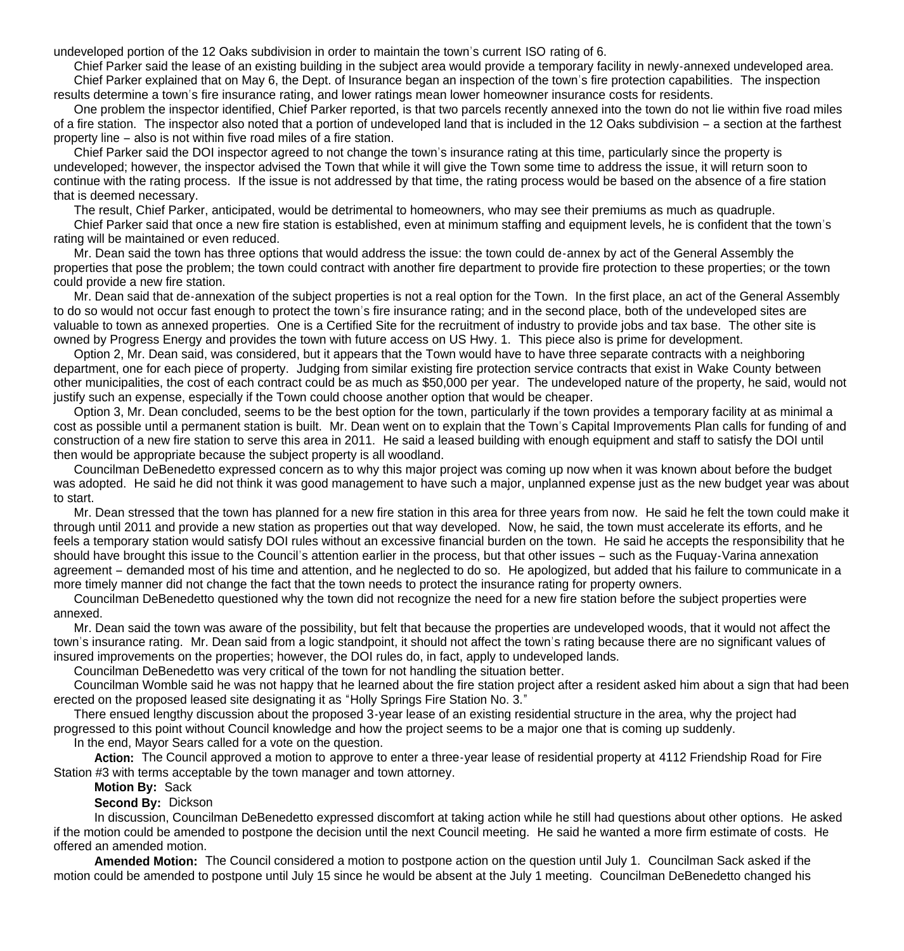undeveloped portion of the 12 Oaks subdivision in order to maintain the town's current ISO rating of 6.

Chief Parker said the lease of an existing building in the subject area would provide a temporary facility in newly-annexed undeveloped area. Chief Parker explained that on May 6, the Dept. of Insurance began an inspection of the town's fire protection capabilities. The inspection results determine a town's fire insurance rating, and lower ratings mean lower homeowner insurance costs for residents.

One problem the inspector identified, Chief Parker reported, is that two parcels recently annexed into the town do not lie within five road miles of a fire station. The inspector also noted that a portion of undeveloped land that is included in the 12 Oaks subdivision – a section at the farthest property line – also is not within five road miles of a fire station.

Chief Parker said the DOI inspector agreed to not change the town's insurance rating at this time, particularly since the property is undeveloped; however, the inspector advised the Town that while it will give the Town some time to address the issue, it will return soon to continue with the rating process. If the issue is not addressed by that time, the rating process would be based on the absence of a fire station that is deemed necessary.

The result, Chief Parker, anticipated, would be detrimental to homeowners, who may see their premiums as much as quadruple.

Chief Parker said that once a new fire station is established, even at minimum staffing and equipment levels, he is confident that the town's rating will be maintained or even reduced.

Mr. Dean said the town has three options that would address the issue: the town could de-annex by act of the General Assembly the properties that pose the problem; the town could contract with another fire department to provide fire protection to these properties; or the town could provide a new fire station.

Mr. Dean said that de-annexation of the subject properties is not a real option for the Town. In the first place, an act of the General Assembly to do so would not occur fast enough to protect the town's fire insurance rating; and in the second place, both of the undeveloped sites are valuable to town as annexed properties. One is a Certified Site for the recruitment of industry to provide jobs and tax base. The other site is owned by Progress Energy and provides the town with future access on US Hwy. 1. This piece also is prime for development.

Option 2, Mr. Dean said, was considered, but it appears that the Town would have to have three separate contracts with a neighboring department, one for each piece of property. Judging from similar existing fire protection service contracts that exist in Wake County between other municipalities, the cost of each contract could be as much as \$50,000 per year. The undeveloped nature of the property, he said, would not justify such an expense, especially if the Town could choose another option that would be cheaper.

Option 3, Mr. Dean concluded, seems to be the best option for the town, particularly if the town provides a temporary facility at as minimal a cost as possible until a permanent station is built. Mr. Dean went on to explain that the Town's Capital Improvements Plan calls for funding of and construction of a new fire station to serve this area in 2011. He said a leased building with enough equipment and staff to satisfy the DOI until then would be appropriate because the subject property is all woodland.

Councilman DeBenedetto expressed concern as to why this major project was coming up now when it was known about before the budget was adopted. He said he did not think it was good management to have such a major, unplanned expense just as the new budget year was about to start.

Mr. Dean stressed that the town has planned for a new fire station in this area for three years from now. He said he felt the town could make it through until 2011 and provide a new station as properties out that way developed. Now, he said, the town must accelerate its efforts, and he feels a temporary station would satisfy DOI rules without an excessive financial burden on the town. He said he accepts the responsibility that he should have brought this issue to the Council's attention earlier in the process, but that other issues – such as the Fuquay-Varina annexation agreement – demanded most of his time and attention, and he neglected to do so. He apologized, but added that his failure to communicate in a more timely manner did not change the fact that the town needs to protect the insurance rating for property owners.

Councilman DeBenedetto questioned why the town did not recognize the need for a new fire station before the subject properties were annexed.

Mr. Dean said the town was aware of the possibility, but felt that because the properties are undeveloped woods, that it would not affect the town's insurance rating. Mr. Dean said from a logic standpoint, it should not affect the town's rating because there are no significant values of insured improvements on the properties; however, the DOI rules do, in fact, apply to undeveloped lands.

Councilman DeBenedetto was very critical of the town for not handling the situation better.

Councilman Womble said he was not happy that he learned about the fire station project after a resident asked him about a sign that had been erected on the proposed leased site designating it as "Holly Springs Fire Station No. 3."

There ensued lengthy discussion about the proposed 3-year lease of an existing residential structure in the area, why the project had progressed to this point without Council knowledge and how the project seems to be a major one that is coming up suddenly.

In the end, Mayor Sears called for a vote on the question.

**Action:** The Council approved a motion to approve to enter a three-year lease of residential property at 4112 Friendship Road for Fire Station #3 with terms acceptable by the town manager and town attorney.

#### **Motion By:** Sack

#### **Second By:** Dickson

 In discussion, Councilman DeBenedetto expressed discomfort at taking action while he still had questions about other options. He asked if the motion could be amended to postpone the decision until the next Council meeting. He said he wanted a more firm estimate of costs. He offered an amended motion.

 **Amended Motion:** The Council considered a motion to postpone action on the question until July 1. Councilman Sack asked if the motion could be amended to postpone until July 15 since he would be absent at the July 1 meeting. Councilman DeBenedetto changed his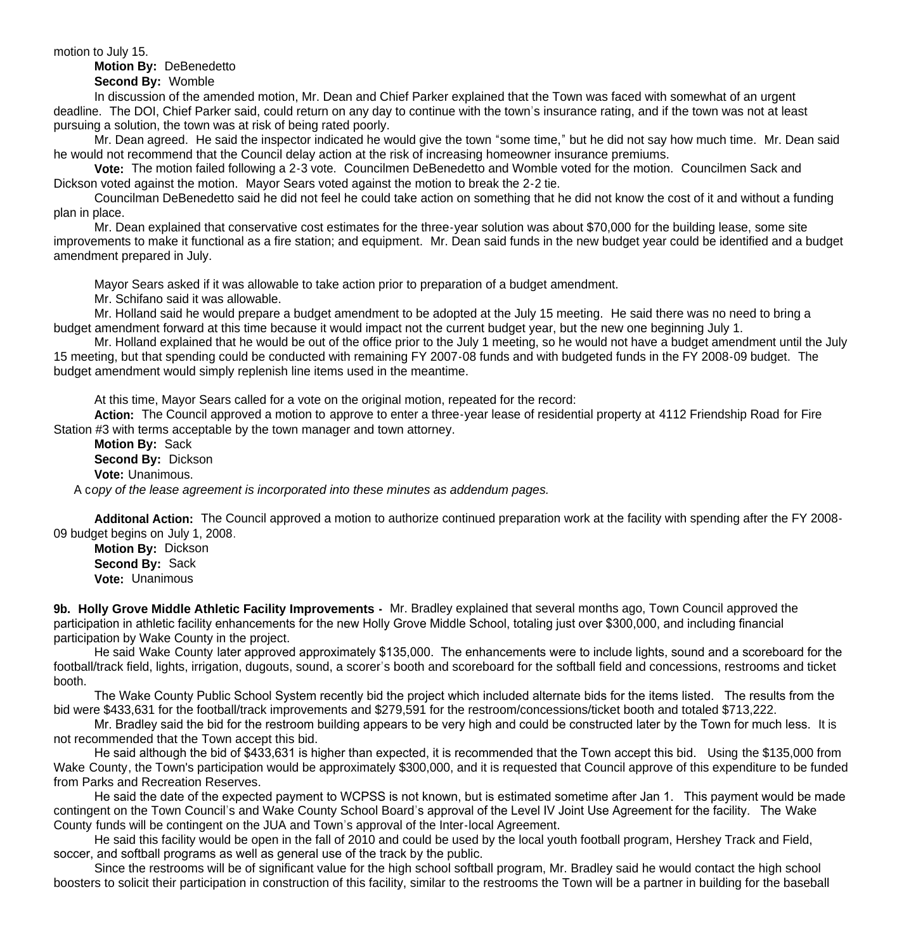motion to July 15.

**Motion By:** DeBenedetto

**Second By:** Womble

 In discussion of the amended motion, Mr. Dean and Chief Parker explained that the Town was faced with somewhat of an urgent deadline. The DOI, Chief Parker said, could return on any day to continue with the town's insurance rating, and if the town was not at least pursuing a solution, the town was at risk of being rated poorly.

 Mr. Dean agreed. He said the inspector indicated he would give the town "some time," but he did not say how much time. Mr. Dean said he would not recommend that the Council delay action at the risk of increasing homeowner insurance premiums.

 **Vote:** The motion failed following a 2-3 vote. Councilmen DeBenedetto and Womble voted for the motion. Councilmen Sack and Dickson voted against the motion. Mayor Sears voted against the motion to break the 2-2 tie.

 Councilman DeBenedetto said he did not feel he could take action on something that he did not know the cost of it and without a funding plan in place.

 Mr. Dean explained that conservative cost estimates for the three-year solution was about \$70,000 for the building lease, some site improvements to make it functional as a fire station; and equipment. Mr. Dean said funds in the new budget year could be identified and a budget amendment prepared in July.

Mayor Sears asked if it was allowable to take action prior to preparation of a budget amendment.

Mr. Schifano said it was allowable.

 Mr. Holland said he would prepare a budget amendment to be adopted at the July 15 meeting. He said there was no need to bring a budget amendment forward at this time because it would impact not the current budget year, but the new one beginning July 1.

 Mr. Holland explained that he would be out of the office prior to the July 1 meeting, so he would not have a budget amendment until the July 15 meeting, but that spending could be conducted with remaining FY 2007-08 funds and with budgeted funds in the FY 2008-09 budget. The budget amendment would simply replenish line items used in the meantime.

At this time, Mayor Sears called for a vote on the original motion, repeated for the record:

**Action:** The Council approved a motion to approve to enter a three-year lease of residential property at 4112 Friendship Road for Fire Station #3 with terms acceptable by the town manager and town attorney.

 **Motion By:** Sack **Second By:** Dickson **Vote:** Unanimous. A c*opy of the lease agreement is incorporated into these minutes as addendum pages.*

**Additonal Action:** The Council approved a motion to authorize continued preparation work at the facility with spending after the FY 2008- 09 budget begins on July 1, 2008.

 **Motion By:** Dickson **Second By:** Sack **Vote:** Unanimous

**9b. Holly Grove Middle Athletic Facility Improvements -** Mr. Bradley explained that several months ago, Town Council approved the participation in athletic facility enhancements for the new Holly Grove Middle School, totaling just over \$300,000, and including financial participation by Wake County in the project.

 He said Wake County later approved approximately \$135,000. The enhancements were to include lights, sound and a scoreboard for the football/track field, lights, irrigation, dugouts, sound, a scorer's booth and scoreboard for the softball field and concessions, restrooms and ticket booth.

 The Wake County Public School System recently bid the project which included alternate bids for the items listed. The results from the bid were \$433,631 for the football/track improvements and \$279,591 for the restroom/concessions/ticket booth and totaled \$713,222.

 Mr. Bradley said the bid for the restroom building appears to be very high and could be constructed later by the Town for much less. It is not recommended that the Town accept this bid.

 He said although the bid of \$433,631 is higher than expected, it is recommended that the Town accept this bid. Using the \$135,000 from Wake County, the Town's participation would be approximately \$300,000, and it is requested that Council approve of this expenditure to be funded from Parks and Recreation Reserves.

 He said the date of the expected payment to WCPSS is not known, but is estimated sometime after Jan 1. This payment would be made contingent on the Town Council's and Wake County School Board's approval of the Level IV Joint Use Agreement for the facility. The Wake County funds will be contingent on the JUA and Town's approval of the Inter-local Agreement.

 He said this facility would be open in the fall of 2010 and could be used by the local youth football program, Hershey Track and Field, soccer, and softball programs as well as general use of the track by the public.

 Since the restrooms will be of significant value for the high school softball program, Mr. Bradley said he would contact the high school boosters to solicit their participation in construction of this facility, similar to the restrooms the Town will be a partner in building for the baseball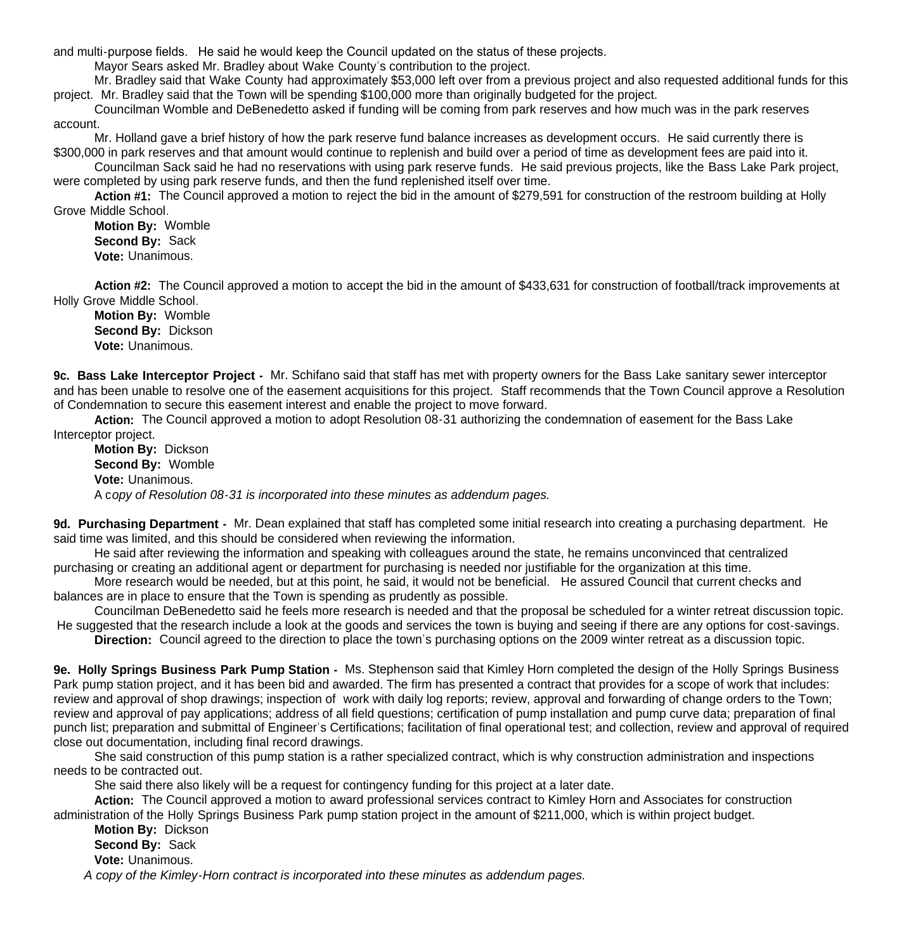and multi-purpose fields. He said he would keep the Council updated on the status of these projects.

Mayor Sears asked Mr. Bradley about Wake County's contribution to the project.

 Mr. Bradley said that Wake County had approximately \$53,000 left over from a previous project and also requested additional funds for this project. Mr. Bradley said that the Town will be spending \$100,000 more than originally budgeted for the project.

 Councilman Womble and DeBenedetto asked if funding will be coming from park reserves and how much was in the park reserves account.

 Mr. Holland gave a brief history of how the park reserve fund balance increases as development occurs. He said currently there is \$300,000 in park reserves and that amount would continue to replenish and build over a period of time as development fees are paid into it.

 Councilman Sack said he had no reservations with using park reserve funds. He said previous projects, like the Bass Lake Park project, were completed by using park reserve funds, and then the fund replenished itself over time.

**Action #1:** The Council approved a motion to reject the bid in the amount of \$279,591 for construction of the restroom building at Holly Grove Middle School.

 **Motion By:** Womble **Second By:** Sack **Vote:** Unanimous.

 **Action #2:** The Council approved a motion to accept the bid in the amount of \$433,631 for construction of football/track improvements at Holly Grove Middle School.

 **Motion By:** Womble **Second By:** Dickson **Vote:** Unanimous.

**9c. Bass Lake Interceptor Project -** Mr. Schifano said that staff has met with property owners for the Bass Lake sanitary sewer interceptor and has been unable to resolve one of the easement acquisitions for this project. Staff recommends that the Town Council approve a Resolution of Condemnation to secure this easement interest and enable the project to move forward.

 **Action:** The Council approved a motion to adopt Resolution 08-31 authorizing the condemnation of easement for the Bass Lake Interceptor project.

 **Motion By:** Dickson **Second By:** Womble **Vote:** Unanimous. A c*opy of Resolution 08-31 is incorporated into these minutes as addendum pages.*

**9d. Purchasing Department -** Mr. Dean explained that staff has completed some initial research into creating a purchasing department. He said time was limited, and this should be considered when reviewing the information.

 He said after reviewing the information and speaking with colleagues around the state, he remains unconvinced that centralized purchasing or creating an additional agent or department for purchasing is needed nor justifiable for the organization at this time.

 More research would be needed, but at this point, he said, it would not be beneficial. He assured Council that current checks and balances are in place to ensure that the Town is spending as prudently as possible.

 Councilman DeBenedetto said he feels more research is needed and that the proposal be scheduled for a winter retreat discussion topic. He suggested that the research include a look at the goods and services the town is buying and seeing if there are any options for cost-savings.

 **Direction:** Council agreed to the direction to place the town's purchasing options on the 2009 winter retreat as a discussion topic.

**9e. Holly Springs Business Park Pump Station -** Ms. Stephenson said that Kimley Horn completed the design of the Holly Springs Business Park pump station project, and it has been bid and awarded. The firm has presented a contract that provides for a scope of work that includes: review and approval of shop drawings; inspection of work with daily log reports; review, approval and forwarding of change orders to the Town; review and approval of pay applications; address of all field questions; certification of pump installation and pump curve data; preparation of final punch list; preparation and submittal of Engineer's Certifications; facilitation of final operational test; and collection, review and approval of required close out documentation, including final record drawings.

She said construction of this pump station is a rather specialized contract, which is why construction administration and inspections needs to be contracted out.

She said there also likely will be a request for contingency funding for this project at a later date.

Action: The Council approved a motion to award professional services contract to Kimley Horn and Associates for construction administration of the Holly Springs Business Park pump station project in the amount of \$211,000, which is within project budget.

 **Motion By:** Dickson **Second By:** Sack **Vote:** Unanimous.

*A copy of the Kimley-Horn contract is incorporated into these minutes as addendum pages.*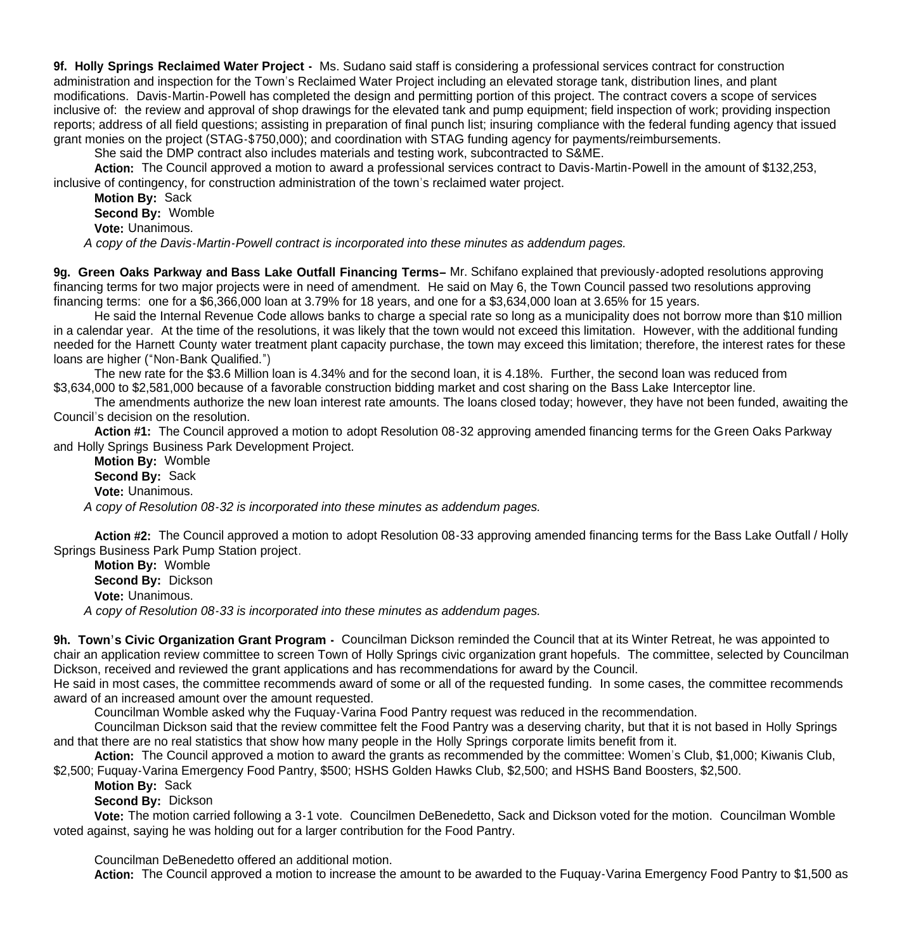**9f. Holly Springs Reclaimed Water Project -** Ms. Sudano said staff is considering a professional services contract for construction administration and inspection for the Town's Reclaimed Water Project including an elevated storage tank, distribution lines, and plant modifications. Davis-Martin-Powell has completed the design and permitting portion of this project. The contract covers a scope of services inclusive of: the review and approval of shop drawings for the elevated tank and pump equipment; field inspection of work; providing inspection reports; address of all field questions; assisting in preparation of final punch list; insuring compliance with the federal funding agency that issued grant monies on the project (STAG-\$750,000); and coordination with STAG funding agency for payments/reimbursements.

She said the DMP contract also includes materials and testing work, subcontracted to S&ME.

 **Action:** The Council approved a motion to award a professional services contract to Davis-Martin-Powell in the amount of \$132,253, inclusive of contingency, for construction administration of the town's reclaimed water project.

 **Motion By:** Sack **Second By:** Womble **Vote:** Unanimous.  *A copy of the Davis-Martin-Powell contract is incorporated into these minutes as addendum pages.*

**9g. Green Oaks Parkway and Bass Lake Outfall Financing Terms–** Mr. Schifano explained that previously-adopted resolutions approving financing terms for two major projects were in need of amendment. He said on May 6, the Town Council passed two resolutions approving financing terms: one for a \$6,366,000 loan at 3.79% for 18 years, and one for a \$3,634,000 loan at 3.65% for 15 years.

He said the Internal Revenue Code allows banks to charge a special rate so long as a municipality does not borrow more than \$10 million in a calendar year. At the time of the resolutions, it was likely that the town would not exceed this limitation. However, with the additional funding needed for the Harnett County water treatment plant capacity purchase, the town may exceed this limitation; therefore, the interest rates for these loans are higher ("Non-Bank Qualified.")

 The new rate for the \$3.6 Million loan is 4.34% and for the second loan, it is 4.18%. Further, the second loan was reduced from \$3,634,000 to \$2,581,000 because of a favorable construction bidding market and cost sharing on the Bass Lake Interceptor line.

 The amendments authorize the new loan interest rate amounts. The loans closed today; however, they have not been funded, awaiting the Council's decision on the resolution.

**Action #1:** The Council approved a motion to adopt Resolution 08-32 approving amended financing terms for the Green Oaks Parkway and Holly Springs Business Park Development Project.

 **Motion By:** Womble **Second By:** Sack **Vote:** Unanimous.  *A copy of Resolution 08-32 is incorporated into these minutes as addendum pages.*

**Action #2:** The Council approved a motion to adopt Resolution 08-33 approving amended financing terms for the Bass Lake Outfall / Holly Springs Business Park Pump Station project.

 **Motion By:** Womble **Second By:** Dickson **Vote:** Unanimous.  *A copy of Resolution 08-33 is incorporated into these minutes as addendum pages.*

**9h. Town's Civic Organization Grant Program -** Councilman Dickson reminded the Council that at its Winter Retreat, he was appointed to chair an application review committee to screen Town of Holly Springs civic organization grant hopefuls. The committee, selected by Councilman Dickson, received and reviewed the grant applications and has recommendations for award by the Council.

He said in most cases, the committee recommends award of some or all of the requested funding. In some cases, the committee recommends award of an increased amount over the amount requested.

Councilman Womble asked why the Fuquay-Varina Food Pantry request was reduced in the recommendation.

 Councilman Dickson said that the review committee felt the Food Pantry was a deserving charity, but that it is not based in Holly Springs and that there are no real statistics that show how many people in the Holly Springs corporate limits benefit from it.

**Action:** The Council approved a motion to award the grants as recommended by the committee: Women's Club, \$1,000; Kiwanis Club, \$2,500; Fuquay-Varina Emergency Food Pantry, \$500; HSHS Golden Hawks Club, \$2,500; and HSHS Band Boosters, \$2,500.

 **Motion By:** Sack

**Second By:** Dickson

 **Vote:** The motion carried following a 3-1 vote. Councilmen DeBenedetto, Sack and Dickson voted for the motion. Councilman Womble voted against, saying he was holding out for a larger contribution for the Food Pantry.

Councilman DeBenedetto offered an additional motion.

**Action:** The Council approved a motion to increase the amount to be awarded to the Fuquay-Varina Emergency Food Pantry to \$1,500 as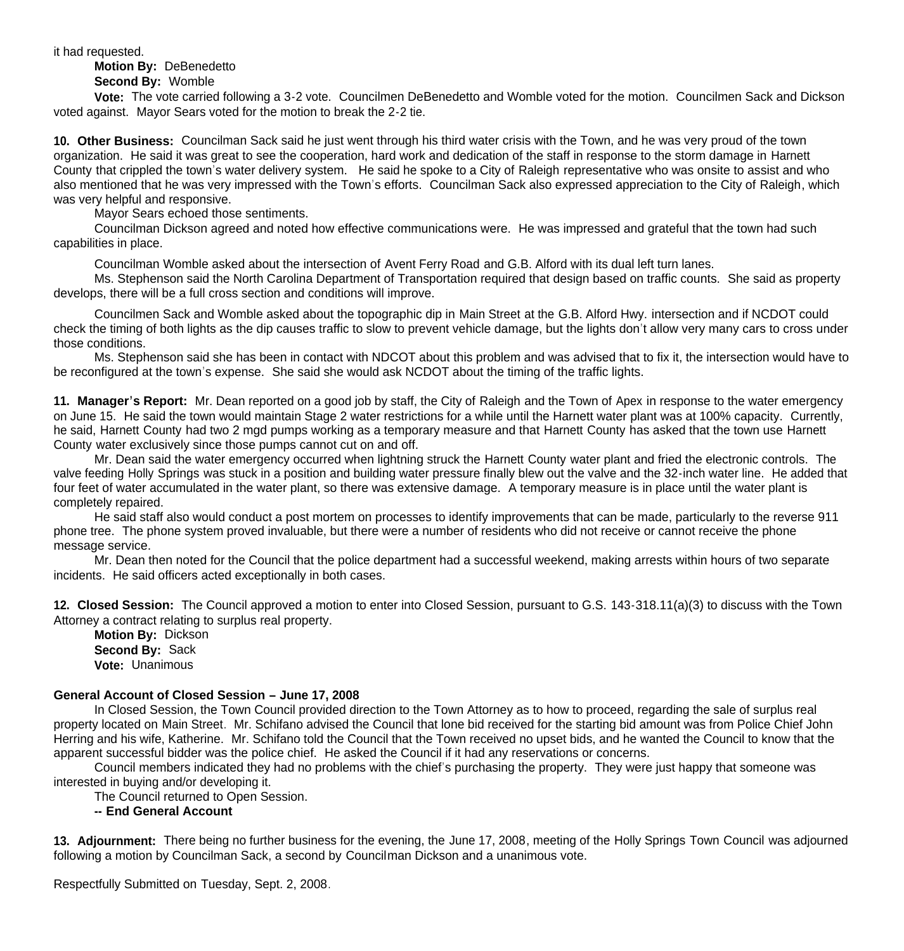it had requested.

## **Motion By:** DeBenedetto

**Second By:** Womble

 **Vote:** The vote carried following a 3-2 vote. Councilmen DeBenedetto and Womble voted for the motion. Councilmen Sack and Dickson voted against. Mayor Sears voted for the motion to break the 2-2 tie.

**10. Other Business:** Councilman Sack said he just went through his third water crisis with the Town, and he was very proud of the town organization. He said it was great to see the cooperation, hard work and dedication of the staff in response to the storm damage in Harnett County that crippled the town's water delivery system. He said he spoke to a City of Raleigh representative who was onsite to assist and who also mentioned that he was very impressed with the Town's efforts. Councilman Sack also expressed appreciation to the City of Raleigh, which was very helpful and responsive.

Mayor Sears echoed those sentiments.

 Councilman Dickson agreed and noted how effective communications were. He was impressed and grateful that the town had such capabilities in place.

Councilman Womble asked about the intersection of Avent Ferry Road and G.B. Alford with its dual left turn lanes.

 Ms. Stephenson said the North Carolina Department of Transportation required that design based on traffic counts. She said as property develops, there will be a full cross section and conditions will improve.

 Councilmen Sack and Womble asked about the topographic dip in Main Street at the G.B. Alford Hwy. intersection and if NCDOT could check the timing of both lights as the dip causes traffic to slow to prevent vehicle damage, but the lights don't allow very many cars to cross under those conditions.

 Ms. Stephenson said she has been in contact with NDCOT about this problem and was advised that to fix it, the intersection would have to be reconfigured at the town's expense. She said she would ask NCDOT about the timing of the traffic lights.

**11. Manager's Report:** Mr. Dean reported on a good job by staff, the City of Raleigh and the Town of Apex in response to the water emergency on June 15. He said the town would maintain Stage 2 water restrictions for a while until the Harnett water plant was at 100% capacity. Currently, he said, Harnett County had two 2 mgd pumps working as a temporary measure and that Harnett County has asked that the town use Harnett County water exclusively since those pumps cannot cut on and off.

 Mr. Dean said the water emergency occurred when lightning struck the Harnett County water plant and fried the electronic controls. The valve feeding Holly Springs was stuck in a position and building water pressure finally blew out the valve and the 32-inch water line. He added that four feet of water accumulated in the water plant, so there was extensive damage. A temporary measure is in place until the water plant is completely repaired.

 He said staff also would conduct a post mortem on processes to identify improvements that can be made, particularly to the reverse 911 phone tree. The phone system proved invaluable, but there were a number of residents who did not receive or cannot receive the phone message service.

Mr. Dean then noted for the Council that the police department had a successful weekend, making arrests within hours of two separate incidents. He said officers acted exceptionally in both cases.

**12. Closed Session:** The Council approved a motion to enter into Closed Session, pursuant to G.S. 143-318.11(a)(3) to discuss with the Town Attorney a contract relating to surplus real property.

 **Motion By:** Dickson **Second By:** Sack **Vote:** Unanimous

## **General Account of Closed Session – June 17, 2008**

 In Closed Session, the Town Council provided direction to the Town Attorney as to how to proceed, regarding the sale of surplus real property located on Main Street. Mr. Schifano advised the Council that lone bid received for the starting bid amount was from Police Chief John Herring and his wife, Katherine. Mr. Schifano told the Council that the Town received no upset bids, and he wanted the Council to know that the apparent successful bidder was the police chief. He asked the Council if it had any reservations or concerns.

 Council members indicated they had no problems with the chief's purchasing the property. They were just happy that someone was interested in buying and/or developing it.

The Council returned to Open Session.

**-- End General Account**

**13. Adjournment:** There being no further business for the evening, the June 17, 2008, meeting of the Holly Springs Town Council was adjourned following a motion by Councilman Sack, a second by Councilman Dickson and a unanimous vote.

Respectfully Submitted on Tuesday, Sept. 2, 2008.